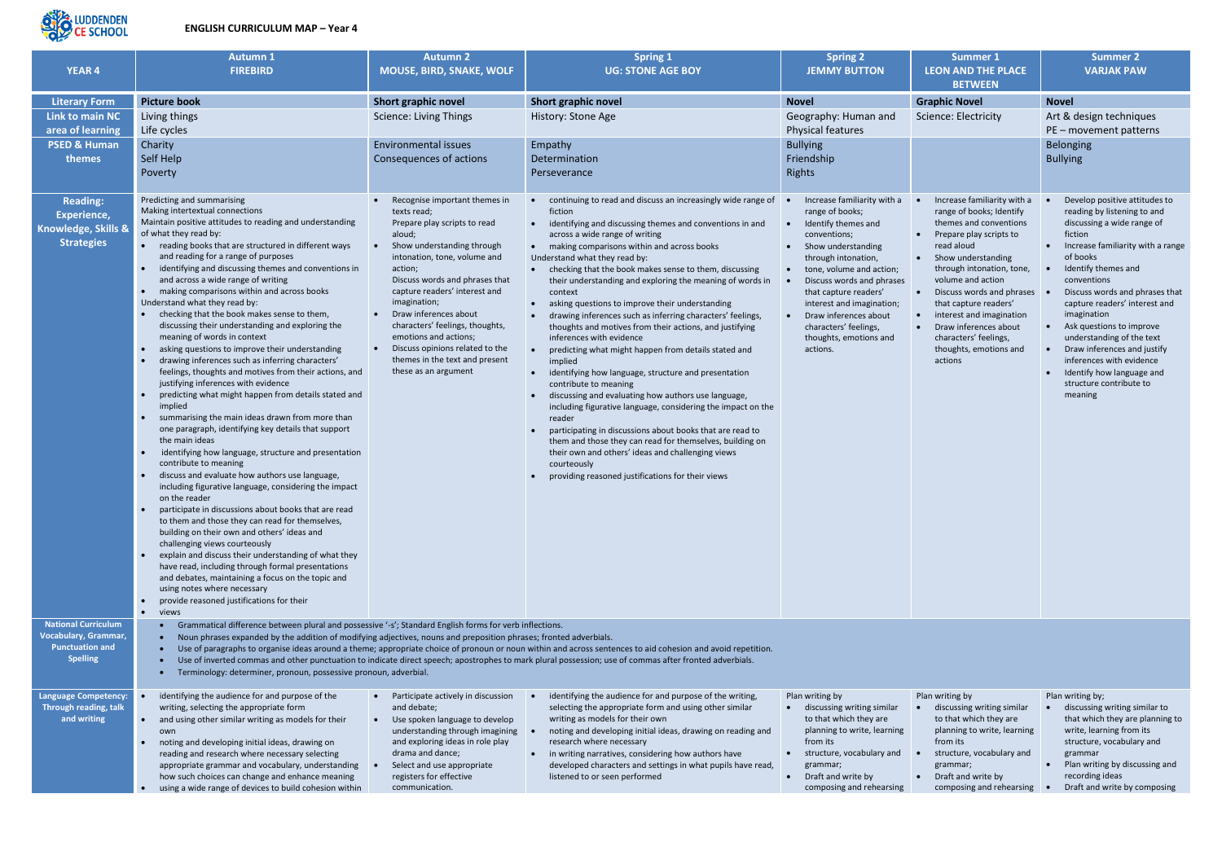

## **ENGLISH CURRICULUM MAP – Year 4**

| <b>YEAR 4</b>                                                                                          | <b>Autumn 1</b><br><b>FIREBIRD</b>                                                                                                                                                                                                                                                                                                                                                                                                                                                                                                                                                                                                                                                                                                                                                                                                                                                                                                                                                                                                                                                                                                                                                                                                                                                                                                                                                                                                                                                                                                                                                                                                                                                                             | <b>Autumn 2</b><br><b>MOUSE, BIRD, SNAKE, WOLF</b>                                                                                                                                                                                                                                                                                                                                                                                   | <b>Spring 1</b><br><b>UG: STONE AGE BOY</b>                                                                                                                                                                                                                                                                                                                                                                                                                                                                                                                                                                                                                                                                                                                                                                                                                                                                                                                                                                                                                                                                                                                                      | <b>Spring 2</b><br><b>JEMMY BUTTON</b>                                                                                                                                                                                                                                                                                                                                | <b>Summer 1</b><br><b>LEON AND THE PLACE</b><br><b>BETWEEN</b>                                                                                                                                                                                                                                                                                                                                          | <b>Summer 2</b><br><b>VARJAK PAW</b>                                                                                                                                                                                                                                                                                                                                                                                                                                  |
|--------------------------------------------------------------------------------------------------------|----------------------------------------------------------------------------------------------------------------------------------------------------------------------------------------------------------------------------------------------------------------------------------------------------------------------------------------------------------------------------------------------------------------------------------------------------------------------------------------------------------------------------------------------------------------------------------------------------------------------------------------------------------------------------------------------------------------------------------------------------------------------------------------------------------------------------------------------------------------------------------------------------------------------------------------------------------------------------------------------------------------------------------------------------------------------------------------------------------------------------------------------------------------------------------------------------------------------------------------------------------------------------------------------------------------------------------------------------------------------------------------------------------------------------------------------------------------------------------------------------------------------------------------------------------------------------------------------------------------------------------------------------------------------------------------------------------------|--------------------------------------------------------------------------------------------------------------------------------------------------------------------------------------------------------------------------------------------------------------------------------------------------------------------------------------------------------------------------------------------------------------------------------------|----------------------------------------------------------------------------------------------------------------------------------------------------------------------------------------------------------------------------------------------------------------------------------------------------------------------------------------------------------------------------------------------------------------------------------------------------------------------------------------------------------------------------------------------------------------------------------------------------------------------------------------------------------------------------------------------------------------------------------------------------------------------------------------------------------------------------------------------------------------------------------------------------------------------------------------------------------------------------------------------------------------------------------------------------------------------------------------------------------------------------------------------------------------------------------|-----------------------------------------------------------------------------------------------------------------------------------------------------------------------------------------------------------------------------------------------------------------------------------------------------------------------------------------------------------------------|---------------------------------------------------------------------------------------------------------------------------------------------------------------------------------------------------------------------------------------------------------------------------------------------------------------------------------------------------------------------------------------------------------|-----------------------------------------------------------------------------------------------------------------------------------------------------------------------------------------------------------------------------------------------------------------------------------------------------------------------------------------------------------------------------------------------------------------------------------------------------------------------|
| <b>Literary Form</b>                                                                                   | <b>Picture book</b>                                                                                                                                                                                                                                                                                                                                                                                                                                                                                                                                                                                                                                                                                                                                                                                                                                                                                                                                                                                                                                                                                                                                                                                                                                                                                                                                                                                                                                                                                                                                                                                                                                                                                            | <b>Short graphic novel</b>                                                                                                                                                                                                                                                                                                                                                                                                           | Short graphic novel                                                                                                                                                                                                                                                                                                                                                                                                                                                                                                                                                                                                                                                                                                                                                                                                                                                                                                                                                                                                                                                                                                                                                              | <b>Novel</b>                                                                                                                                                                                                                                                                                                                                                          | <b>Graphic Novel</b>                                                                                                                                                                                                                                                                                                                                                                                    | <b>Novel</b>                                                                                                                                                                                                                                                                                                                                                                                                                                                          |
| <b>Link to main NC</b><br>area of learning                                                             | Living things<br>Life cycles                                                                                                                                                                                                                                                                                                                                                                                                                                                                                                                                                                                                                                                                                                                                                                                                                                                                                                                                                                                                                                                                                                                                                                                                                                                                                                                                                                                                                                                                                                                                                                                                                                                                                   | <b>Science: Living Things</b>                                                                                                                                                                                                                                                                                                                                                                                                        | History: Stone Age                                                                                                                                                                                                                                                                                                                                                                                                                                                                                                                                                                                                                                                                                                                                                                                                                                                                                                                                                                                                                                                                                                                                                               | Geography: Human and<br>Physical features                                                                                                                                                                                                                                                                                                                             | Science: Electricity                                                                                                                                                                                                                                                                                                                                                                                    | Art & design techniques<br>PE - movement patterns                                                                                                                                                                                                                                                                                                                                                                                                                     |
| <b>PSED &amp; Human</b><br>themes                                                                      | Charity<br>Self Help<br>Poverty                                                                                                                                                                                                                                                                                                                                                                                                                                                                                                                                                                                                                                                                                                                                                                                                                                                                                                                                                                                                                                                                                                                                                                                                                                                                                                                                                                                                                                                                                                                                                                                                                                                                                | <b>Environmental issues</b><br>Consequences of actions                                                                                                                                                                                                                                                                                                                                                                               | Empathy<br>Determination<br>Perseverance                                                                                                                                                                                                                                                                                                                                                                                                                                                                                                                                                                                                                                                                                                                                                                                                                                                                                                                                                                                                                                                                                                                                         | <b>Bullying</b><br>Friendship<br>Rights                                                                                                                                                                                                                                                                                                                               |                                                                                                                                                                                                                                                                                                                                                                                                         | Belonging<br><b>Bullying</b>                                                                                                                                                                                                                                                                                                                                                                                                                                          |
| <b>Reading:</b><br>Experience,<br>Knowledge, Skills &<br><b>Strategies</b>                             | Predicting and summarising<br>Making intertextual connections<br>Maintain positive attitudes to reading and understanding<br>of what they read by:<br>• reading books that are structured in different ways<br>and reading for a range of purposes<br>identifying and discussing themes and conventions in<br>and across a wide range of writing<br>• making comparisons within and across books<br>Understand what they read by:<br>checking that the book makes sense to them,<br>discussing their understanding and exploring the<br>meaning of words in context<br>asking questions to improve their understanding<br>drawing inferences such as inferring characters'<br>feelings, thoughts and motives from their actions, and<br>justifying inferences with evidence<br>predicting what might happen from details stated and<br>$\bullet$<br>implied<br>• summarising the main ideas drawn from more than<br>one paragraph, identifying key details that support<br>the main ideas<br>identifying how language, structure and presentation<br>$\bullet$<br>contribute to meaning<br>discuss and evaluate how authors use language,<br>$\bullet$<br>including figurative language, considering the impact<br>on the reader<br>participate in discussions about books that are read<br>$\bullet$<br>to them and those they can read for themselves,<br>building on their own and others' ideas and<br>challenging views courteously<br>explain and discuss their understanding of what they<br>$\bullet$<br>have read, including through formal presentations<br>and debates, maintaining a focus on the topic and<br>using notes where necessary<br>provide reasoned justifications for their<br>• views | Recognise important themes in<br>texts read;<br>Prepare play scripts to read<br>aloud;<br>Show understanding through<br>intonation, tone, volume and<br>action;<br>Discuss words and phrases that<br>capture readers' interest and<br>imagination;<br>Draw inferences about<br>characters' feelings, thoughts,<br>emotions and actions;<br>Discuss opinions related to the<br>themes in the text and present<br>these as an argument | continuing to read and discuss an increasingly wide range of<br>$\bullet$<br>fiction<br>identifying and discussing themes and conventions in and<br>$\bullet$<br>across a wide range of writing<br>• making comparisons within and across books<br>Understand what they read by:<br>• checking that the book makes sense to them, discussing<br>their understanding and exploring the meaning of words in<br>context<br>asking questions to improve their understanding<br>$\bullet$<br>drawing inferences such as inferring characters' feelings,<br>thoughts and motives from their actions, and justifying<br>inferences with evidence<br>predicting what might happen from details stated and<br>implied<br>identifying how language, structure and presentation<br>contribute to meaning<br>discussing and evaluating how authors use language,<br>including figurative language, considering the impact on the<br>reader<br>participating in discussions about books that are read to<br>them and those they can read for themselves, building on<br>their own and others' ideas and challenging views<br>courteously<br>providing reasoned justifications for their views | Increase familiarity with a<br>range of books;<br>Identify themes and<br>$\bullet$<br>conventions;<br>• Show understanding<br>through intonation,<br>tone, volume and action;<br>$\bullet$<br>Discuss words and phrases<br>that capture readers'<br>interest and imagination;<br>Draw inferences about<br>characters' feelings,<br>thoughts, emotions and<br>actions. | Increase familiarity with a<br>range of books; Identify<br>themes and conventions<br>Prepare play scripts to<br>$\bullet$<br>read aloud<br>• Show understanding<br>through intonation, tone,<br>volume and action<br>Discuss words and phrases<br>$\bullet$<br>that capture readers'<br>interest and imagination<br>Draw inferences about<br>characters' feelings,<br>thoughts, emotions and<br>actions | Develop positive attitudes to<br>reading by listening to and<br>discussing a wide range of<br>fiction<br>Increase familiarity with a range<br>of books<br>Identify themes and<br>conventions<br>Discuss words and phrases that<br>capture readers' interest and<br>imagination<br>Ask questions to improve<br>understanding of the text<br>Draw inferences and justify<br>inferences with evidence<br>Identify how language and<br>structure contribute to<br>meaning |
| <b>National Curriculum</b><br><b>Vocabulary, Grammar,</b><br><b>Punctuation and</b><br><b>Spelling</b> | Grammatical difference between plural and possessive '-s'; Standard English forms for verb inflections.<br>Noun phrases expanded by the addition of modifying adjectives, nouns and preposition phrases; fronted adverbials.<br>Terminology: determiner, pronoun, possessive pronoun, adverbial.                                                                                                                                                                                                                                                                                                                                                                                                                                                                                                                                                                                                                                                                                                                                                                                                                                                                                                                                                                                                                                                                                                                                                                                                                                                                                                                                                                                                               |                                                                                                                                                                                                                                                                                                                                                                                                                                      | Use of paragraphs to organise ideas around a theme; appropriate choice of pronoun or noun within and across sentences to aid cohesion and avoid repetition.<br>Use of inverted commas and other punctuation to indicate direct speech; apostrophes to mark plural possession; use of commas after fronted adverbials.                                                                                                                                                                                                                                                                                                                                                                                                                                                                                                                                                                                                                                                                                                                                                                                                                                                            |                                                                                                                                                                                                                                                                                                                                                                       |                                                                                                                                                                                                                                                                                                                                                                                                         |                                                                                                                                                                                                                                                                                                                                                                                                                                                                       |
| <b>Language Competency:</b><br>Through reading, talk<br>and writing                                    | identifying the audience for and purpose of the<br>writing, selecting the appropriate form<br>• and using other similar writing as models for their<br>owr<br>noting and developing initial ideas, drawing on<br>$\bullet$<br>reading and research where necessary selecting<br>appropriate grammar and vocabulary, understanding<br>how such choices can change and enhance meaning                                                                                                                                                                                                                                                                                                                                                                                                                                                                                                                                                                                                                                                                                                                                                                                                                                                                                                                                                                                                                                                                                                                                                                                                                                                                                                                           | • Participate actively in discussion<br>and debate;<br>• Use spoken language to develop<br>understanding through imagining<br>and exploring ideas in role play<br>drama and dance;<br>Select and use appropriate<br>registers for effective                                                                                                                                                                                          | identifying the audience for and purpose of the writing,<br>selecting the appropriate form and using other similar<br>writing as models for their own<br>noting and developing initial ideas, drawing on reading and<br>research where necessary<br>• in writing narratives, considering how authors have<br>developed characters and settings in what pupils have read,<br>listened to or seen performed                                                                                                                                                                                                                                                                                                                                                                                                                                                                                                                                                                                                                                                                                                                                                                        | Plan writing by<br>• discussing writing similar<br>to that which they are<br>planning to write, learning<br>from its<br>• structure, vocabulary and<br>grammar;<br>• Draft and write by                                                                                                                                                                               | Plan writing by<br>discussing writing similar<br>to that which they are<br>planning to write, learning<br>from its<br>structure, vocabulary and<br>grammar;<br>• Draft and write by                                                                                                                                                                                                                     | Plan writing by;<br>discussing writing similar to<br>that which they are planning to<br>write, learning from its<br>structure, vocabulary and<br>grammar<br>Plan writing by discussing and<br>recording ideas                                                                                                                                                                                                                                                         |

• using a wide range of devices to build cohesion within

communication.

composing and rehearsing

- composing and rehearsing
- recording ideas
- Draft and write by composing